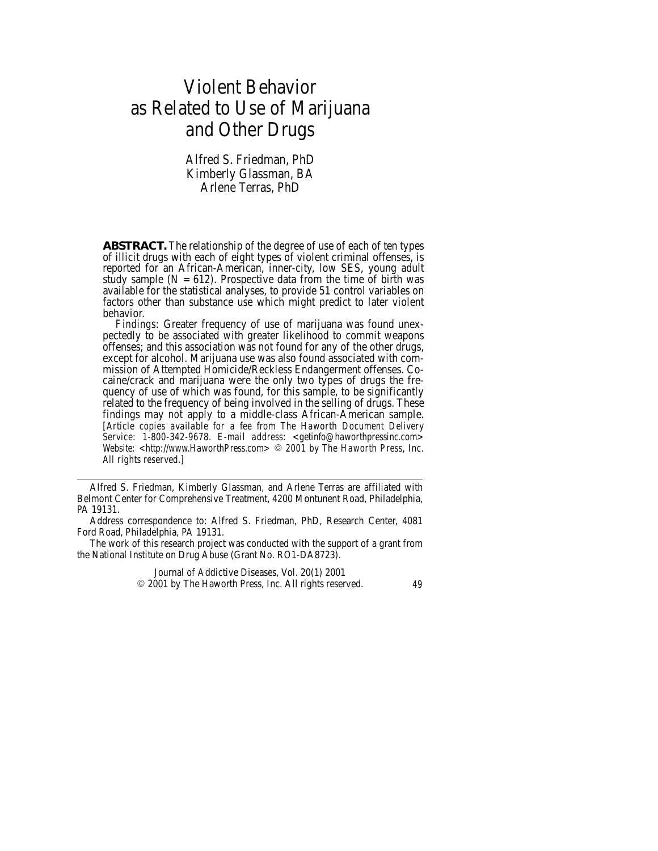# Violent Behavior as Related to Use of Marijuana and Other Drugs

Alfred S. Friedman, PhD Kimberly Glassman, BA Arlene Terras, PhD

**ABSTRACT.** The relationship of the degree of use of each of ten types of illicit drugs with each of eight types of violent criminal offenses, is reported for an African-American, inner-city, low SES, young adult study sample  $(N = 612)$ . Prospective data from the time of birth was available for the statistical analyses, to provide 51 control variables on factors other than substance use which might predict to later violent behavior.<br>**Findings:** Greater frequency of use of marijuana was found unex-

pectedly to be associated with greater likelihood to commit weapons offenses; and this association was *not* found for any of the other drugs, except for alcohol. Marijuana use was also found associated with commission of Attempted Homicide/Reckless Endangerment offenses. Cocaine/crack and marijuana were the only two types of drugs the frequency of use of which was found, for this sample, to be significantly related to the frequency of being involved in the selling of drugs. These findings may *not* apply to a middle-class African-American sample. *[Article copies available for a fee from The Haworth Document Delivery Service: 1-800-342-9678. E-mail address: <getinfo@haworthpressinc.com> Website: <http://www.HaworthPress.com>* © 2001 by The Haworth Press, Inc. *All rights reserved.]*

Address correspondence to: Alfred S. Friedman, PhD, Research Center, 4081 Ford Road, Philadelphia, PA 19131.

The work of this research project was conducted with the support of a grant from the National Institute on Drug Abuse (Grant No. RO1-DA8723).

> Journal of Addictive Diseases, Vol. 20(1) 2001 E 2001 by The Haworth Press, Inc. All rights reserved. *49*

Alfred S. Friedman, Kimberly Glassman, and Arlene Terras are affiliated with Belmont Center for Comprehensive Treatment, 4200 Montunent Road, Philadelphia, PA 19131.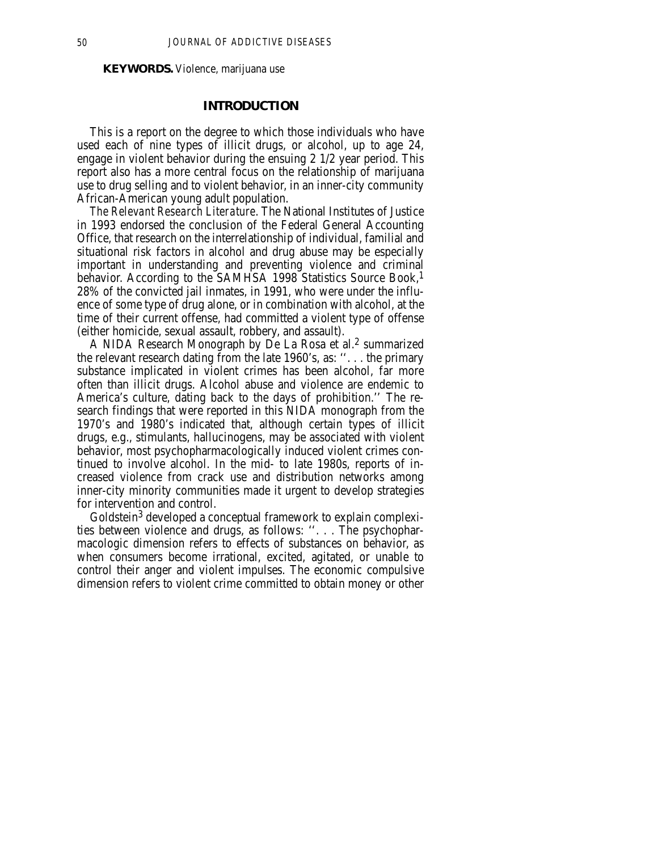## **KEYWORDS.** Violence, marijuana use

## *INTRODUCTION*

This is a report on the degree to which those individuals who have used each of nine types of illicit drugs, or alcohol, up to age 24, engage in violent behavior during the ensuing 2 1/2 year period. This report also has a more central focus on the relationship of marijuana use to drug selling and to violent behavior, in an inner-city community African-American young adult population.

*The Relevant Research Literature*. The National Institutes of Justice in 1993 endorsed the conclusion of the Federal General Accounting Office, that research on the interrelationship of individual, familial and situational risk factors in alcohol and drug abuse may be especially important in understanding and preventing violence and criminal behavior. According to the SAMHSA 1998 Statistics Source Book,<sup>1</sup> 28% of the convicted jail inmates, in 1991, who were under the influence of some type of drug alone, or in combination with alcohol, at the time of their current offense, had committed a violent type of offense (either homicide, sexual assault, robbery, and assault).

A NIDA Research Monograph by De La Rosa et al.<sup>2</sup> summarized the relevant research dating from the late 1960's, as: ''. . . the primary substance implicated in violent crimes has been alcohol, far more often than illicit drugs. Alcohol abuse and violence are endemic to America's culture, dating back to the days of prohibition.'' The research findings that were reported in this NIDA monograph from the 1970's and 1980's indicated that, although certain types of illicit drugs, e.g., stimulants, hallucinogens, may be associated with violent behavior, most psychopharmacologically induced violent crimes continued to involve alcohol. In the mid- to late 1980s, reports of increased violence from crack use and distribution networks among inner-city minority communities made it urgent to develop strategies for intervention and control.

Goldstein<sup>3</sup> developed a conceptual framework to explain complexities between violence and drugs, as follows: ''. . . The psychopharmacologic dimension refers to effects of substances on behavior, as when consumers become irrational, excited, agitated, or unable to control their anger and violent impulses. The economic compulsive dimension refers to violent crime committed to obtain money or other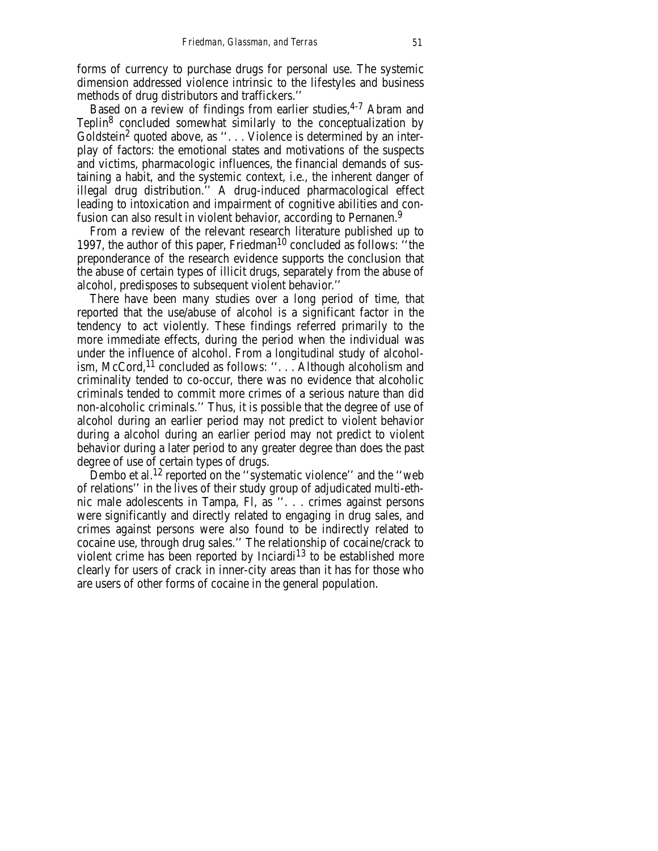forms of currency to purchase drugs for personal use. The systemic dimension addressed violence intrinsic to the lifestyles and business methods of drug distributors and traffickers.''

Based on a review of findings from earlier studies, 4-7 Abram and Teplin<sup>8</sup> concluded somewhat similarly to the conceptualization by Goldstein<sup>2</sup> quoted above, as "... Violence is determined by an interplay of factors: the emotional states and motivations of the suspects and victims, pharmacologic influences, the financial demands of sustaining a habit, and the systemic context, i.e., the inherent danger of illegal drug distribution.'' A drug-induced pharmacological effect leading to intoxication and impairment of cognitive abilities and confusion can also result in violent behavior, according to Pernanen.<sup>9</sup>

From a review of the relevant research literature published up to 1997, the author of this paper, Friedman<sup>10</sup> concluded as follows:  $\cdot$ the preponderance of the research evidence supports the conclusion that the abuse of certain types of illicit drugs, separately from the abuse of alcohol, predisposes to subsequent violent behavior.''

There have been many studies over a long period of time, that reported that the use/abuse of alcohol is a significant factor in the tendency to act violently. These findings referred primarily to the more immediate effects, during the period when the individual was under the influence of alcohol. From a longitudinal study of alcoholism, McCord, <sup>11</sup> concluded as follows: ". . . Although alcoholism and criminality tended to co-occur, there was no evidence that alcoholic criminals tended to commit more crimes of a serious nature than did non-alcoholic criminals.'' Thus, it is possible that the degree of use of alcohol during an earlier period may not predict to violent behavior during a alcohol during an earlier period may not predict to violent behavior during a later period to any greater degree than does the past degree of use of certain types of drugs.

Dembo et al.<sup>12</sup> reported on the "systematic violence" and the "web of relations'' in the lives of their study group of adjudicated multi-ethnic male adolescents in Tampa, Fl, as ''. . . crimes against persons were significantly and directly related to engaging in drug sales, and crimes against persons were also found to be indirectly related to cocaine use, through drug sales.'' The relationship of cocaine/crack to violent crime has been reported by Inciardi<sup>13</sup> to be established more clearly for users of crack in inner-city areas than it has for those who are users of other forms of cocaine in the general population.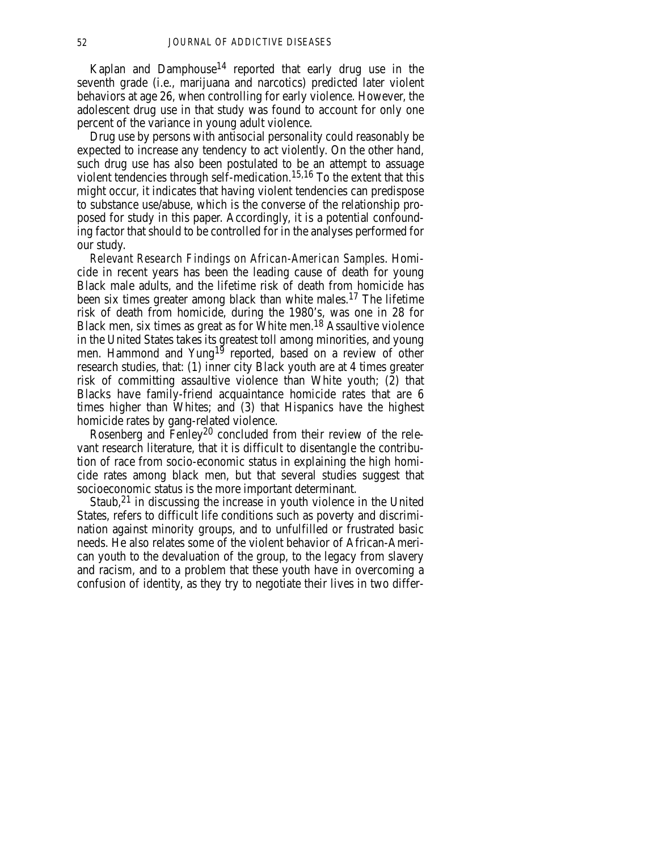Kaplan and Damphouse<sup>14</sup> reported that early drug use in the seventh grade (i.e., marijuana and narcotics) predicted later violent behaviors at age 26, when controlling for early violence. However, the adolescent drug use in that study was found to account for only one percent of the variance in young adult violence.

Drug use by persons with antisocial personality could reasonably be expected to increase any tendency to act violently. On the other hand, such drug use has also been postulated to be an attempt to assuage violent tendencies through self-medication.<sup>15,16</sup> To the extent that this might occur, it indicates that having violent tendencies can predispose to substance use/abuse, which is the converse of the relationship proposed for study in this paper. Accordingly, it is a potential confounding factor that should to be controlled for in the analyses performed for our study.

*Relevant Research Findings on African-American Samples*. Homicide in recent years has been the leading cause of death for young Black male adults, and the lifetime risk of death from homicide has been six times greater among black than white males.<sup>17</sup> The lifetime risk of death from homicide, during the 1980's, was one in 28 for Black men, six times as great as for White men.<sup>18</sup> Assaultive violence in the United States takes its greatest toll among minorities, and young men. Hammond and Yung<sup>19</sup> reported, based on a review of other research studies, that: (1) inner city Black youth are at 4 times greater risk of committing assaultive violence than White youth; (2) that Blacks have family-friend acquaintance homicide rates that are 6 times higher than Whites; and (3) that Hispanics have the highest homicide rates by gang-related violence.

Rosenberg and Fenley<sup>20</sup> concluded from their review of the relevant research literature, that it is difficult to disentangle the contribution of race from socio-economic status in explaining the high homicide rates among black men, but that several studies suggest that socioeconomic status is the more important determinant.

Staub,<sup>21</sup> in discussing the increase in youth violence in the United States, refers to difficult life conditions such as poverty and discrimination against minority groups, and to unfulfilled or frustrated basic needs. He also relates some of the violent behavior of African-American youth to the devaluation of the group, to the legacy from slavery and racism, and to a problem that these youth have in overcoming a confusion of identity, as they try to negotiate their lives in two differ-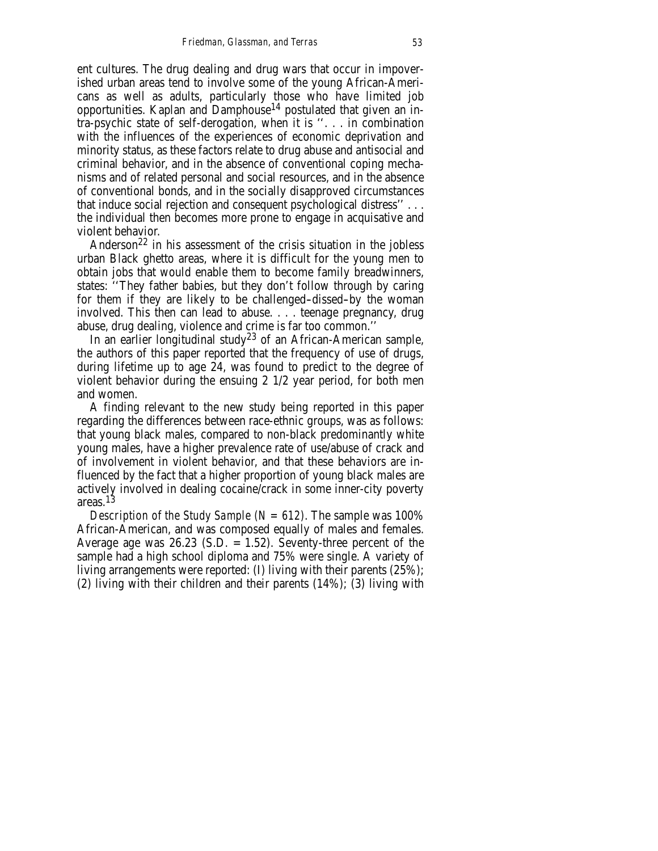ent cultures. The drug dealing and drug wars that occur in impoverished urban areas tend to involve some of the young African-Americans as well as adults, particularly those who have limited job opportunities. Kaplan and Damphouse<sup>14</sup> postulated that given an intra-psychic state of self-derogation, when it is ''. . . in combination with the influences of the experiences of economic deprivation and minority status, as these factors relate to drug abuse and antisocial and criminal behavior, and in the absence of conventional coping mechanisms and of related personal and social resources, and in the absence of conventional bonds, and in the socially disapproved circumstances that induce social rejection and consequent psychological distress'' . . . the individual then becomes more prone to engage in acquisative and violent behavior.

Anderson<sup>22</sup> in his assessment of the crisis situation in the jobless urban Black ghetto areas, where it is difficult for the young men to obtain jobs that would enable them to become family breadwinners, states: ''They father babies, but they don't follow through by caring for them if they are likely to be challenged-dissed-by the woman involved. This then can lead to abuse. . . . teenage pregnancy, drug abuse, drug dealing, violence and crime is far too common.''

In an earlier longitudinal study<sup>23</sup> of an African-American sample, the authors of this paper reported that the frequency of use of drugs, during lifetime up to age 24, was found to predict to the degree of violent behavior during the ensuing 2 1/2 year period, for both men and women.

A finding relevant to the new study being reported in this paper regarding the differences between race-ethnic groups, was as follows: that young black males, compared to non-black predominantly white young males, have a higher prevalence rate of use/abuse of crack and of involvement in violent behavior, and that these behaviors are influenced by the fact that a higher proportion of young black males are actively involved in dealing cocaine/crack in some inner-city poverty areas.<sup>13</sup>

*Description of the Study Sample (N = 612)*. The sample was 100% African-American, and was composed equally of males and females. Average age was 26.23 (S.D. = 1.52). Seventy-three percent of the sample had a high school diploma and 75% were single. A variety of living arrangements were reported: (I) living with their parents (25%); (2) living with their children and their parents (14%); (3) living with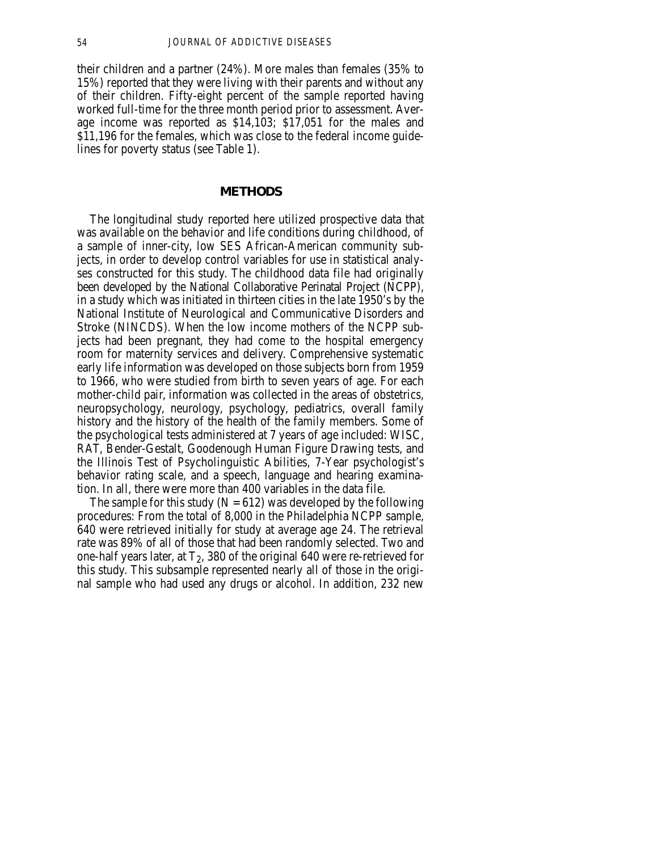their children and a partner (24%). More males than females (35% to 15%) reported that they were living with their parents and without any of their children. Fifty-eight percent of the sample reported having worked full-time for the three month period prior to assessment. Average income was reported as \$14,103; \$17,051 for the males and \$11,196 for the females, which was close to the federal income guidelines for poverty status (see Table 1).

## *METHODS*

The longitudinal study reported here utilized prospective data that was available on the behavior and life conditions during childhood, of a sample of inner-city, low SES African-American community subjects, in order to develop control variables for use in statistical analyses constructed for this study. The childhood data file had originally been developed by the National Collaborative Perinatal Project (NCPP), in a study which was initiated in thirteen cities in the late 1950's by the National Institute of Neurological and Communicative Disorders and Stroke (NINCDS). When the low income mothers of the NCPP subjects had been pregnant, they had come to the hospital emergency room for maternity services and delivery. Comprehensive systematic early life information was developed on those subjects born from 1959 to 1966, who were studied from birth to seven years of age. For each mother-child pair, information was collected in the areas of obstetrics, neuropsychology, neurology, psychology, pediatrics, overall family history and the history of the health of the family members. Some of the psychological tests administered at 7 years of age included: WISC, RAT, Bender-Gestalt, Goodenough Human Figure Drawing tests, and the Illinois Test of Psycholinguistic Abilities, 7-Year psychologist's behavior rating scale, and a speech, language and hearing examination. In all, there were more than 400 variables in the data file.

The sample for this study ( $N = 612$ ) was developed by the following procedures: From the total of 8,000 in the Philadelphia NCPP sample, 640 were retrieved initially for study at average age 24. The retrieval rate was 89% of all of those that had been randomly selected. Two and one-half years later, at  ${\rm T}_2$ , 380 of the original 640 were re-retrieved for this study. This subsample represented nearly all of those in the original sample who had used any drugs or alcohol. In addition, 232 new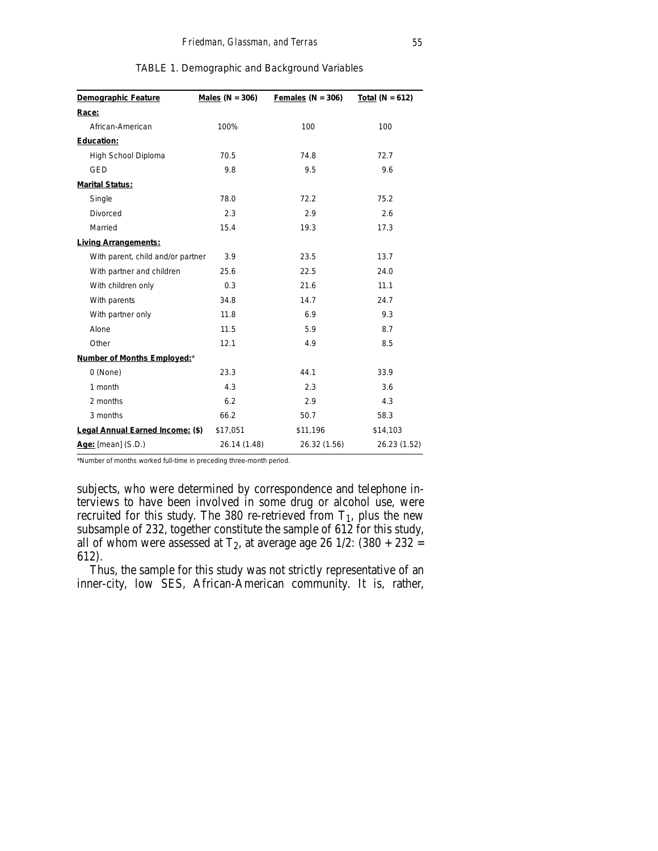| Demographic Feature               | Males ( $N = 306$ ) | $F$ emales (N = 306) | Total ( $N = 612$ ) |
|-----------------------------------|---------------------|----------------------|---------------------|
| Race:                             |                     |                      |                     |
| African-American                  | 100%                | 100                  | 100                 |
| Education:                        |                     |                      |                     |
| High School Diploma               | 70.5                | 74.8                 | 72.7                |
| <b>GED</b>                        | 9.8                 | 9.5                  | 9.6                 |
| <b>Marital Status:</b>            |                     |                      |                     |
| Single                            | 78.0                | 72.2                 | 75.2                |
| <b>Divorced</b>                   | 2.3                 | 2.9                  | 2.6                 |
| Married                           | 15.4                | 19.3                 | 17.3                |
| <b>Living Arrangements:</b>       |                     |                      |                     |
| With parent, child and/or partner | 3.9                 | 23.5                 | 13.7                |
| With partner and children         | 25.6                | 22.5                 | 24.0                |
| With children only                | 0.3                 | 21.6                 | 11.1                |
| With parents                      | 34.8                | 14.7                 | 24.7                |
| With partner only                 | 11.8                | 6.9                  | 9.3                 |
| Alone                             | 11.5                | 5.9                  | 8.7                 |
| Other                             | 12.1                | 4.9                  | 8.5                 |
| Number of Months Employed:*       |                     |                      |                     |
| 0 (None)                          | 23.3                | 44.1                 | 33.9                |
| 1 month                           | 4.3                 | 2.3                  | 3.6                 |
| 2 months                          | 6.2                 | 2.9                  | 4.3                 |
| 3 months                          | 66.2                | 50.7                 | 58.3                |
| Legal Annual Earned Income: (\$)  | \$17,051            | \$11,196             | \$14,103            |
| Age: [mean] (S.D.)                | 26.14 (1.48)        | 26.32 (1.56)         | 26.23 (1.52)        |

#### TABLE 1. Demographic and Background Variables

\*Number of months worked full-time in preceding three-month period.

subjects, who were determined by correspondence and telephone interviews to have been involved in some drug or alcohol use, were recruited for this study. The 380 re-retrieved from  $T_1$ , plus the new subsample of 232, together constitute the sample of 612 for this study, all of whom were assessed at  $T_2$ , at average age 26 1/2: (380 + 232 = 612).

Thus, the sample for this study was not strictly representative of an inner-city, low SES, African-American community. It is, rather,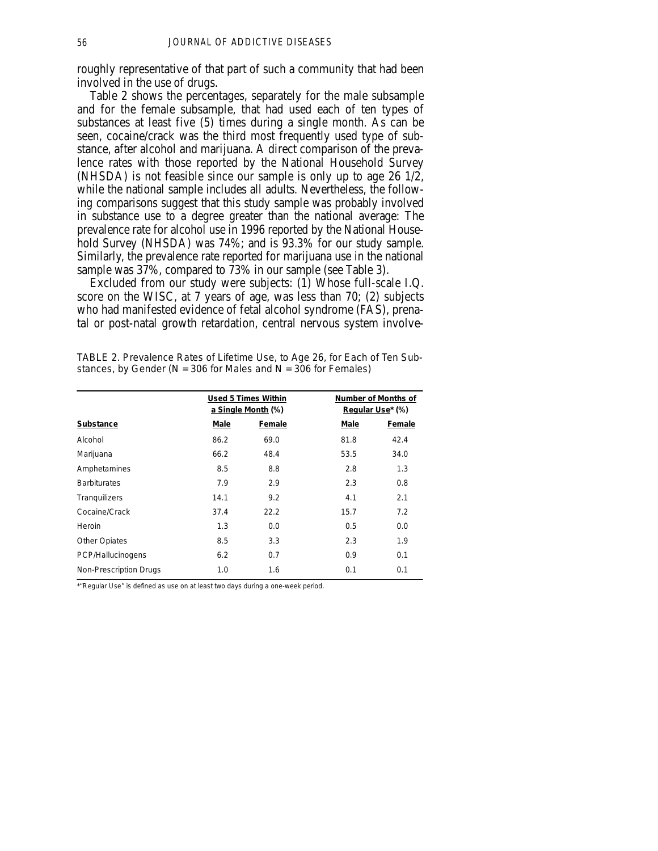roughly representative of that part of such a community that had been involved in the use of drugs.

Table 2 shows the percentages, separately for the male subsample and for the female subsample, that had used each of ten types of substances at least five (5) times during a single month. As can be seen, cocaine/crack was the third most frequently used type of substance, after alcohol and marijuana. A direct comparison of the prevalence rates with those reported by the National Household Survey (NHSDA) is not feasible since our sample is only up to age 26  $1/\gamma$ , while the national sample includes all adults. Nevertheless, the following comparisons suggest that this study sample was probably involved in substance use to a degree greater than the national average: The prevalence rate for alcohol use in 1996 reported by the National Household Survey (NHSDA) was 74%; and is 93.3% for our study sample. Similarly, the prevalence rate reported for marijuana use in the national sample was 37%, compared to 73% in our sample (see Table 3).

Excluded from our study were subjects: (1) Whose full-scale I.Q. score on the WISC, at 7 years of age, was less than 70; (2) subjects who had manifested evidence of fetal alcohol syndrome (FAS), prenatal or post-natal growth retardation, central nervous system involve-

|                               |      | <b>Used 5 Times Within</b><br>a Single Month (%) | Number of Months of<br>Regular Use <sup>*</sup> (%) |        |
|-------------------------------|------|--------------------------------------------------|-----------------------------------------------------|--------|
| Substance                     | Male | Female                                           | Male                                                | Female |
| Alcohol                       | 86.2 | 69.0                                             | 81.8                                                | 42.4   |
| Marijuana                     | 66.2 | 48.4                                             | 53.5                                                | 34.0   |
| Amphetamines                  | 8.5  | 8.8                                              | 2.8                                                 | 1.3    |
| <b>Barbiturates</b>           | 7.9  | 2.9                                              | 2.3                                                 | 0.8    |
| Tranguilizers                 | 14.1 | 9.2                                              | 4.1                                                 | 2.1    |
| Cocaine/Crack                 | 37.4 | 22.2                                             | 15.7                                                | 7.2    |
| Heroin                        | 1.3  | 0.0                                              | 0.5                                                 | 0.0    |
| <b>Other Opiates</b>          | 8.5  | 3.3                                              | 2.3                                                 | 1.9    |
| PCP/Hallucinogens             | 6.2  | 0.7                                              | 0.9                                                 | 0.1    |
| <b>Non-Prescription Drugs</b> | 1.0  | 1.6                                              | 0.1                                                 | 0.1    |

TABLE 2. Prevalence Rates of Lifetime Use, to Age 26, for Each of Ten Substances, by Gender ( $N = 306$  for Males and  $N = 306$  for Females)

\*"Regular Use" is defined as use on at least two days during a one-week period.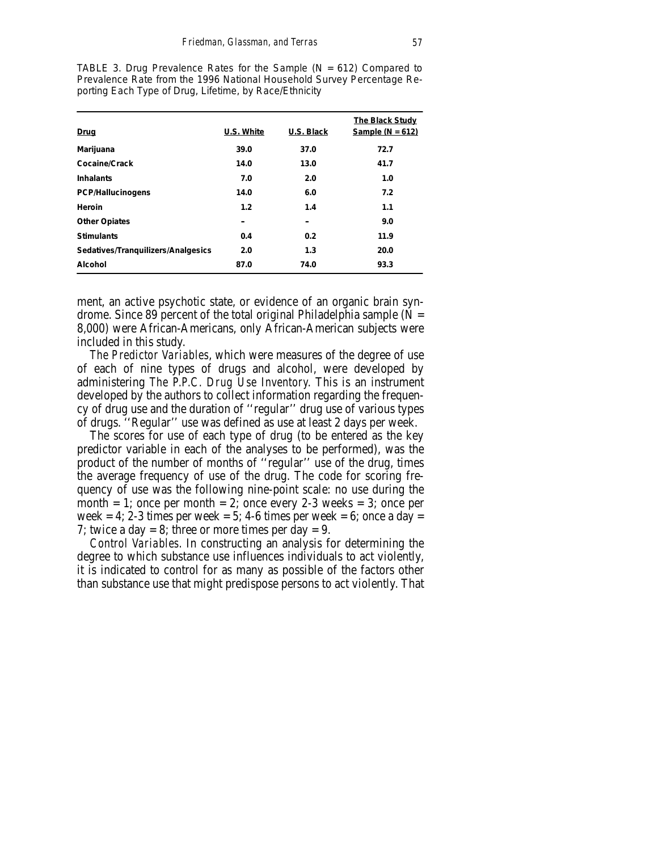TABLE 3. Drug Prevalence Rates for the Sample  $(N = 612)$  Compared to Prevalence Rate from the 1996 National Household Survey Percentage Reporting Each Type of Drug, Lifetime, by Race/Ethnicity **The Black Study**

| Drug                               | U.S. White | U.S. Black | <u>The Black Study</u><br>Sample $(N = 612)$ |
|------------------------------------|------------|------------|----------------------------------------------|
| Marijuana                          | 39.0       | 37.0       | 72.7                                         |
| Cocaine/Crack                      | 14.0       | 13.0       | 41.7                                         |
| <b>Inhalants</b>                   | 7.0        | 2.0        | 1.0                                          |
| <b>PCP/Hallucinogens</b>           | 14.0       | 6.0        | 7.2                                          |
| Heroin                             | 1.2        | 1.4        | 1.1                                          |
| <b>Other Opiates</b>               | -          | -          | 9.0                                          |
| <b>Stimulants</b>                  | 0.4        | 0.2        | 11.9                                         |
| Sedatives/Tranquilizers/Analgesics | 2.0        | 1.3        | 20.0                                         |
| Alcohol                            | 87.0       | 74.0       | 93.3                                         |

ment, an active psychotic state, or evidence of an organic brain syndrome. Since 89 percent of the total original Philadelphia sample ( $\breve{N}$  = 8,000) were African-Americans, only African-American subjects were included in this study.

*The Predictor Variables*, which were measures of the degree of use of each of nine types of drugs and alcohol, were developed by administering *The P.P.C. Drug Use Inventory*. This is an instrument developed by the authors to collect information regarding the frequency of drug use and the duration of ''regular'' drug use of various types of drugs. ''Regular'' use was defined as use at least 2 days per week.

The scores for use of each type of drug (to be entered as the key predictor variable in each of the analyses to be performed), was the product of the number of months of ''regular'' use of the drug, times the average frequency of use of the drug. The code for scoring frequency of use was the following nine-point scale: no use during the month = 1; once per month = 2; once every 2-3 weeks = 3; once per week = 4; 2-3 times per week = 5; 4-6 times per week = 6; once a day = 7; twice a day = 8; three or more times per  $day = 9$ .

*Control Variables*. In constructing an analysis for determining the degree to which substance use influences individuals to act violently, it is indicated to control for as many as possible of the factors other than substance use that might predispose persons to act violently. That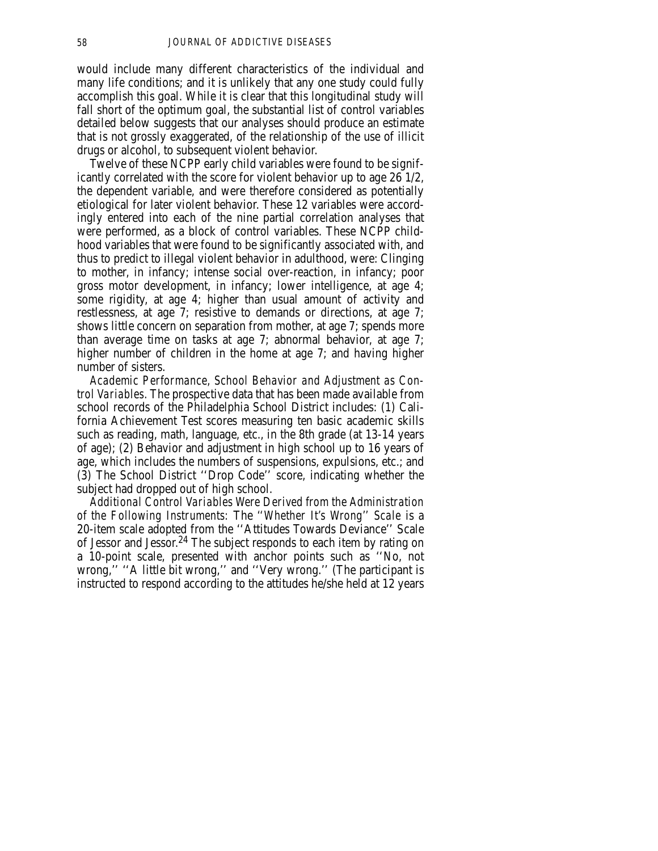would include many different characteristics of the individual and many life conditions; and it is unlikely that any one study could fully accomplish this goal. While it is clear that this longitudinal study will fall short of the optimum goal, the substantial list of control variables detailed below suggests that our analyses should produce an estimate that is not grossly exaggerated, of the relationship of the use of illicit drugs or alcohol, to subsequent violent behavior.

Twelve of these NCPP early child variables were found to be significantly correlated with the score for violent behavior up to age 26 1/2, the dependent variable, and were therefore considered as potentially etiological for later violent behavior. These 12 variables were accordingly entered into each of the nine partial correlation analyses that were performed, as a block of control variables. These NCPP childhood variables that were found to be significantly associated with, and thus to predict to illegal violent behavior in adulthood, were: Clinging to mother, in infancy; intense social over-reaction, in infancy; poor gross motor development, in infancy; lower intelligence, at age 4; some rigidity, at age 4; higher than usual amount of activity and restlessness, at age 7; resistive to demands or directions, at age 7; shows little concern on separation from mother, at age 7; spends more than average time on tasks at age 7; abnormal behavior, at age 7; higher number of children in the home at age 7; and having higher number of sisters.

*Academic Performance, School Behavior and Adjustment as Control Variables*. The prospective data that has been made available from school records of the Philadelphia School District includes: (1) California Achievement Test scores measuring ten basic academic skills such as reading, math, language, etc., in the 8th grade (at 13-14 years of age); (2) Behavior and adjustment in high school up to 16 years of age, which includes the numbers of suspensions, expulsions, etc.; and (3) The School District ''Drop Code'' score, indicating whether the subject had dropped out of high school.

*Additional Control Variables Were Derived from the Administration of the Following Instruments:* The *''Whether It's Wrong'' Scale* is a 20-item scale adopted from the ''Attitudes Towards Deviance'' Scale of Jessor and Jessor.<sup>24</sup> The subject responds to each item by rating on a 10-point scale, presented with anchor points such as ''No, not wrong,'' ''A little bit wrong,'' and ''Very wrong.'' (The participant is instructed to respond according to the attitudes he/she held at 12 years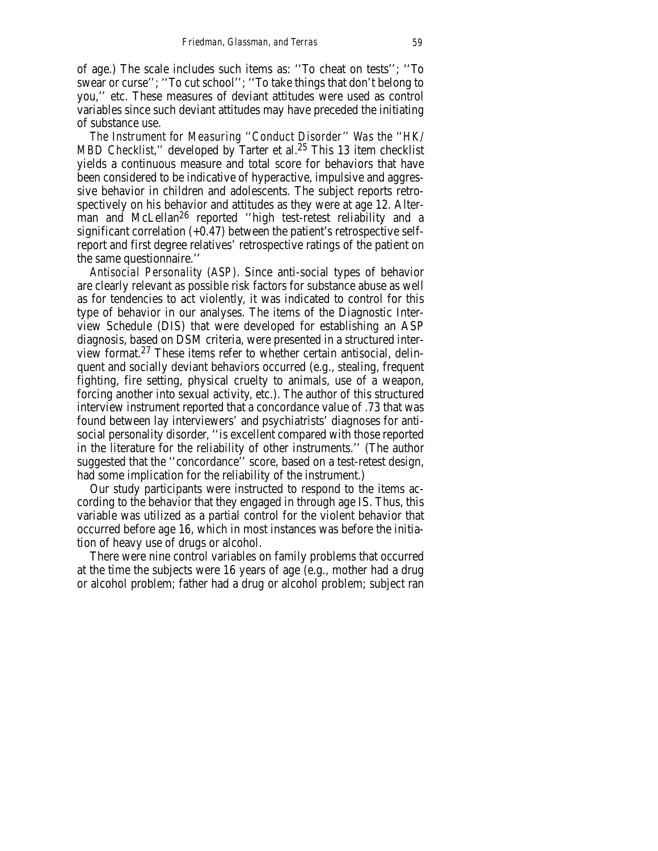of age.) The scale includes such items as: ''To cheat on tests''; ''To swear or curse''; ''To cut school''; ''To take things that don't belong to you,'' etc. These measures of deviant attitudes were used as control variables since such deviant attitudes may have preceded the initiating of substance use.

*The Instrument for Measuring ''Conduct Disorder'' Was the ''HK/ MBD Checklist,"* developed by Tarter et al.<sup>25</sup> This 13 item checklist yields a continuous measure and total score for behaviors that have been considered to be indicative of hyperactive, impulsive and aggressive behavior in children and adolescents. The subject reports retrospectively on his behavior and attitudes as they were at age 12. Alterman and McLellan<sup>26</sup> reported "high test-retest reliability and a significant correlation (+0.47) between the patient's retrospective selfreport and first degree relatives' retrospective ratings of the patient on the same questionnaire.''

*Antisocial Personality (ASP)*. Since anti-social types of behavior are clearly relevant as possible risk factors for substance abuse as well as for tendencies to act violently, it was indicated to control for this type of behavior in our analyses. The items of the Diagnostic Interview Schedule (DIS) that were developed for establishing an ASP diagnosis, based on DSM criteria, were presented in a structured interview format.27 These items refer to whether certain antisocial, delinquent and socially deviant behaviors occurred (e.g., stealing, frequent fighting, fire setting, physical cruelty to animals, use of a weapon, forcing another into sexual activity, etc.). The author of this structured interview instrument reported that a concordance value of .73 that was found between lay interviewers' and psychiatrists' diagnoses for antisocial personality disorder, ''is excellent compared with those reported in the literature for the reliability of other instruments.'' (The author suggested that the ''concordance'' score, based on a test-retest design, had some implication for the reliability of the instrument.)

Our study participants were instructed to respond to the items according to the behavior that they engaged in through age IS. Thus, this variable was utilized as a partial control for the violent behavior that occurred before age 16, which in most instances was before the initiation of heavy use of drugs or alcohol.

There were nine control variables on family problems that occurred at the time the subjects were 16 years of age (e.g., mother had a drug or alcohol problem; father had a drug or alcohol problem; subject ran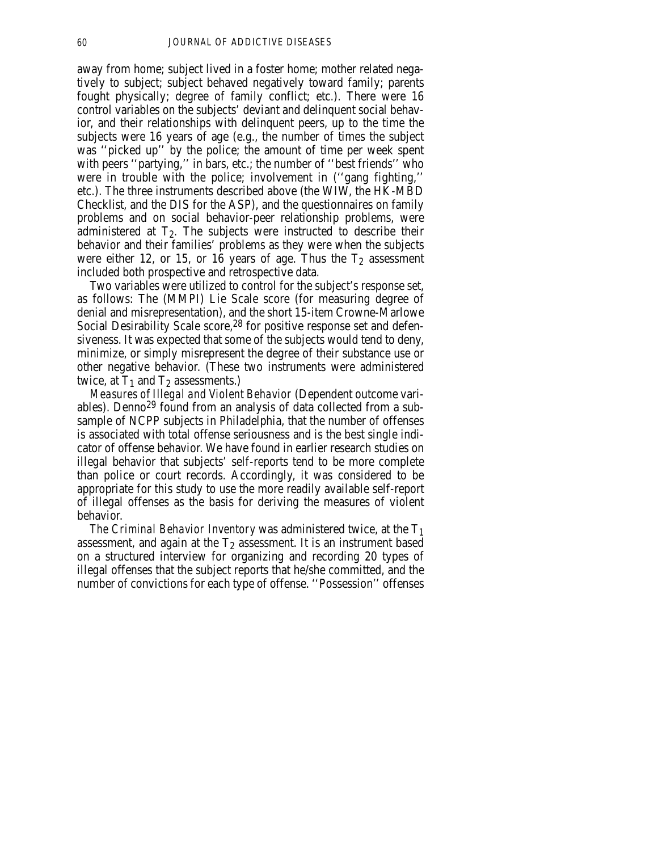away from home; subject lived in a foster home; mother related negatively to subject; subject behaved negatively toward family; parents fought physically; degree of family conflict; etc.). There were 16 control variables on the subjects' deviant and delinquent social behavior, and their relationships with delinquent peers, up to the time the subjects were 16 years of age (e.g., the number of times the subject was ''picked up'' by the police; the amount of time per week spent with peers ''partying,'' in bars, etc.; the number of ''best friends'' who were in trouble with the police; involvement in (''gang fighting,'' etc.). The three instruments described above (the WIW, the HK-MBD Checklist, and the DIS for the ASP), and the questionnaires on family problems and on social behavior-peer relationship problems, were administered at  $\mathrm{T}_2$ . The subjects were instructed to describe their behavior and their families' problems as they were when the subjects were either 12, or 15, or 16 years of age. Thus the  $\mathrm{T}_2$  assessment included both prospective and retrospective data.

Two variables were utilized to control for the subject's response set, as follows: The (MMPI) Lie Scale score (for measuring degree of denial and misrepresentation), and the short 15-item Crowne-Marlowe Social Desirability Scale score,<sup>28</sup> for positive response set and defensiveness. It was expected that some of the subjects would tend to deny, minimize, or simply misrepresent the degree of their substance use or other negative behavior. (These two instruments were administered twice, at  $T_1$  and  $T_2$  assessments.)

*Measures of Illegal and Violent Behavior* (Dependent outcome variables). Denno<sup>29</sup> found from an analysis of data collected from a subsample of NCPP subjects in Philadelphia, that the number of offenses is associated with total offense seriousness and is the best single indicator of offense behavior. We have found in earlier research studies on illegal behavior that subjects' self-reports tend to be more complete than police or court records. Accordingly, it was considered to be appropriate for this study to use the more readily available self-report of illegal offenses as the basis for deriving the measures of violent behavior.

*The Criminal Behavior Inventory* was administered twice, at the  $T_1$ assessment, and again at the  $T_2$  assessment. It is an instrument based on a structured interview for organizing and recording 20 types of illegal offenses that the subject reports that he/she committed, and the number of convictions for each type of offense. ''Possession'' offenses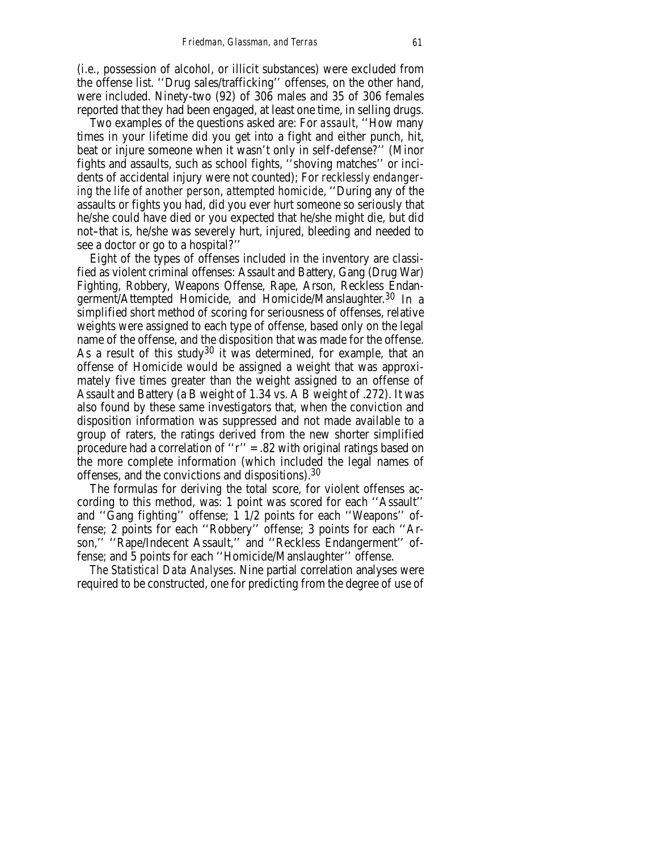(i.e., possession of alcohol, or illicit substances) were excluded from the offense list. ''Drug sales/trafficking'' offenses, on the other hand, were included. Ninety-two (92) of 306 males and 35 of 306 females reported that they had been engaged, at least one time, in selling drugs.

Two examples of the questions asked are: For *assault*, ''How many times in your lifetime did you get into a fight and either punch, hit, beat or injure someone when it wasn't only in self-defense?'' (Minor fights and assaults, such as school fights, ''shoving matches'' or incidents of accidental injury were not counted); For *recklessly endangering the life of another person, attempted homicide*, ''During any of the assaults or fights you had, did you ever hurt someone so seriously that he/she could have died or you expected that he/she might die, but did not--that is, he/she was severely hurt, injured, bleeding and needed to see a doctor or go to a hospital?''

Eight of the types of offenses included in the inventory are classified as violent criminal offenses: Assault and Battery, Gang (Drug War) Fighting, Robbery, Weapons Offense, Rape, Arson, Reckless Endangerment/Attempted Homicide, and Homicide/Manslaughter.30 In a simplified short method of scoring for seriousness of offenses, relative weights were assigned to each type of offense, based only on the legal name of the offense, and the disposition that was made for the offense. As a result of this study<sup>30</sup> it was determined, for example, that an offense of Homicide would be assigned a weight that was approximately five times greater than the weight assigned to an offense of Assault and Battery (a B weight of 1.34 vs. A B weight of .272). It was also found by these same investigators that, when the conviction and disposition information was suppressed and not made available to a group of raters, the ratings derived from the new shorter simplified procedure had a correlation of ''r'' = .82 with original ratings based on the more complete information (which included the legal names of offenses, and the convictions and dispositions). $30$ 

The formulas for deriving the total score, for violent offenses according to this method, was: 1 point was scored for each ''Assault'' and ''Gang fighting'' offense; 1 1/2 points for each ''Weapons'' offense; 2 points for each ''Robbery'' offense; 3 points for each ''Arson,'' ''Rape/Indecent Assault,'' and ''Reckless Endangerment'' offense; and 5 points for each ''Homicide/Manslaughter'' offense.

*The Statistical Data Analyses*. Nine partial correlation analyses were required to be constructed, one for predicting from the degree of use of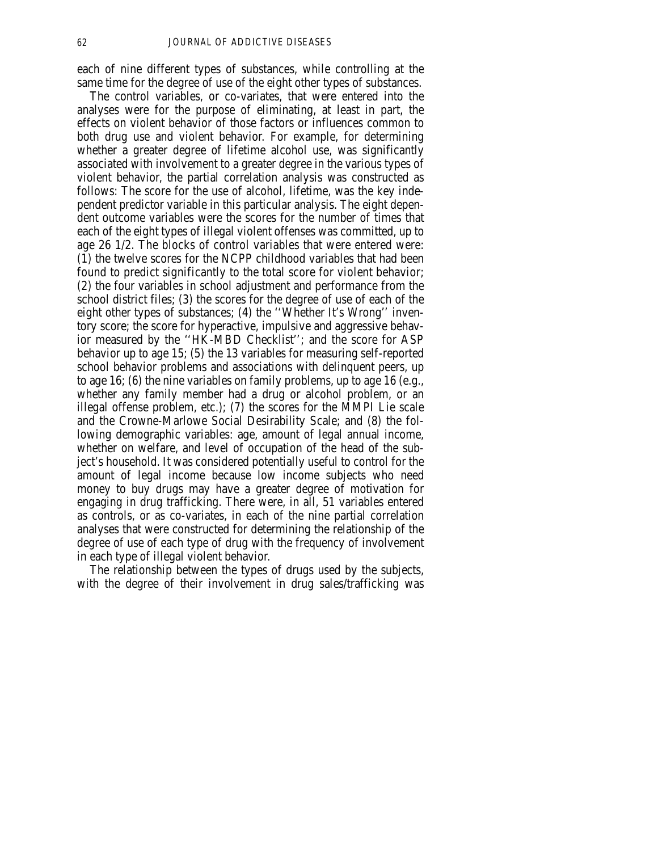each of nine different types of substances, while controlling at the same time for the degree of use of the eight other types of substances.

The control variables, or co-variates, that were entered into the analyses were for the purpose of eliminating, at least in part, the effects on violent behavior of those factors or influences common to both drug use and violent behavior. For example, for determining whether a greater degree of lifetime alcohol use, was significantly associated with involvement to a greater degree in the various types of violent behavior, the partial correlation analysis was constructed as follows: The score for the use of alcohol, lifetime, was the key independent predictor variable in this particular analysis. The eight dependent outcome variables were the scores for the number of times that each of the eight types of illegal violent offenses was committed, up to age 26 1/2. The blocks of control variables that were entered were: (1) the twelve scores for the NCPP childhood variables that had been found to predict significantly to the total score for violent behavior; (2) the four variables in school adjustment and performance from the school district files; (3) the scores for the degree of use of each of the eight other types of substances; (4) the ''Whether It's Wrong'' inventory score; the score for hyperactive, impulsive and aggressive behavior measured by the ''HK-MBD Checklist''; and the score for ASP behavior up to age 15; (5) the 13 variables for measuring self-reported school behavior problems and associations with delinquent peers, up to age 16; (6) the nine variables on family problems, up to age 16 (e.g., whether any family member had a drug or alcohol problem, or an illegal offense problem, etc.); (7) the scores for the MMPI Lie scale and the Crowne-Marlowe Social Desirability Scale; and (8) the following demographic variables: age, amount of legal annual income, whether on welfare, and level of occupation of the head of the subject's household. It was considered potentially useful to control for the amount of legal income because low income subjects who need money to buy drugs may have a greater degree of motivation for engaging in drug trafficking. There were, in all, 51 variables entered as controls, or as co-variates, in each of the nine partial correlation analyses that were constructed for determining the relationship of the degree of use of each type of drug with the frequency of involvement in each type of illegal violent behavior.

The relationship between the types of drugs used by the subjects, with the degree of their involvement in drug sales/trafficking was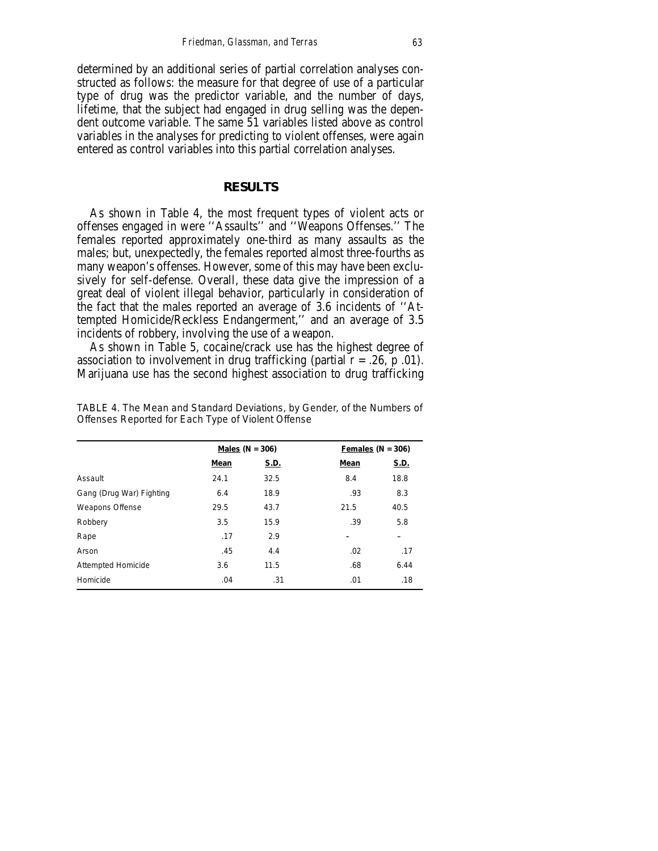determined by an additional series of partial correlation analyses constructed as follows: the measure for that degree of use of a particular type of drug was the predictor variable, and the number of days, lifetime, that the subject had engaged in drug selling was the dependent outcome variable. The same 51 variables listed above as control variables in the analyses for predicting to violent offenses, were again entered as control variables into this partial correlation analyses.

# *RESULTS*

As shown in Table 4, the most frequent types of violent acts or offenses engaged in were ''Assaults'' and ''Weapons Offenses.'' The females reported approximately one-third as many assaults as the males; but, unexpectedly, the females reported almost three-fourths as many weapon's offenses. However, some of this may have been exclusively for self-defense. Overall, these data give the impression of a great deal of violent illegal behavior, particularly in consideration of the fact that the males reported an average of 3.6 incidents of ''Attempted Homicide/Reckless Endangerment,'' and an average of 3.5 incidents of robbery, involving the use of a weapon.

As shown in Table 5, cocaine/crack use has the highest degree of association to involvement in drug trafficking (partial  $\vec{r}$  = .26,  $\vec{p}$  .01). Marijuana use has the second highest association to drug trafficking

|                           | Males ( $N = 306$ ) |      | <u>Females</u> ( $N = 306$ ) |             |
|---------------------------|---------------------|------|------------------------------|-------------|
|                           | Mean                | S.D. | Mean                         | <u>S.D.</u> |
| Assault                   | 24.1                | 32.5 | 8.4                          | 18.8        |
| Gang (Drug War) Fighting  | 6.4                 | 18.9 | .93                          | 8.3         |
| <b>Weapons Offense</b>    | 29.5                | 43.7 | 21.5                         | 40.5        |
| Robbery                   | 3.5                 | 15.9 | .39                          | 5.8         |
| Rape                      | .17                 | 2.9  |                              |             |
| Arson                     | .45                 | 4.4  | .02                          | .17         |
| <b>Attempted Homicide</b> | 3.6                 | 11.5 | .68                          | 6.44        |
| Homicide                  | .04                 | .31  | .01                          | .18         |
|                           |                     |      |                              |             |

TABLE 4. The Mean and Standard Deviations, by Gender, of the Numbers of Offenses Reported for Each Type of Violent Offense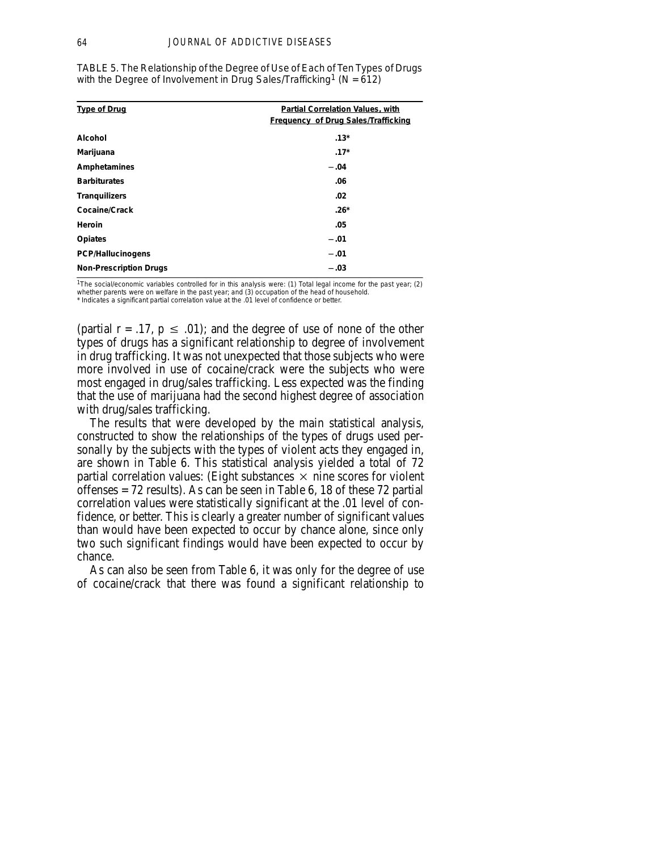| Partial Correlation Values, with<br><b>Frequency of Drug Sales/Trafficking</b> |
|--------------------------------------------------------------------------------|
| $.13*$                                                                         |
| $.17*$                                                                         |
| $-.04$                                                                         |
| .06                                                                            |
| .02                                                                            |
| $.26*$                                                                         |
| .05                                                                            |
| $-.01$                                                                         |
| $-.01$                                                                         |
| $-.03$                                                                         |
|                                                                                |

TABLE 5. The Relationship of the Degree of Use of Each of Ten Types of Drugs with the Degree of Involvement in Drug Sales/Trafficking<sup>1</sup> (N = 612)

1The social/economic variables controlled for in this analysis were: (1) Total legal income for the past year; (2) whether parents were on welfare in the past year; and (3) occupation of the head of household. \* Indicates a significant partial correlation value at the .01 level of confidence or better.

(partial  $r = .17$ ,  $p \le .01$ ); and the degree of use of none of the other types of drugs has a significant relationship to degree of involvement in drug trafficking. It was not unexpected that those subjects who were more involved in use of cocaine/crack were the subjects who were most engaged in drug/sales trafficking. Less expected was the finding that the use of marijuana had the second highest degree of association with drug/sales trafficking.

The results that were developed by the main statistical analysis, constructed to show the relationships of the types of drugs used personally by the subjects with the types of violent acts they engaged in, are shown in Table 6. This statistical analysis yielded a total of 72 partial correlation values: (Eight substances  $\times$  nine scores for violent offenses = 72 results). As can be seen in Table 6, 18 of these 72 partial correlation values were statistically significant at the .01 level of confidence, or better. This is clearly a greater number of significant values than would have been expected to occur by chance alone, since only two such significant findings would have been expected to occur by chance.

As can also be seen from Table 6, it was only for the degree of use of cocaine/crack that there was found a significant relationship to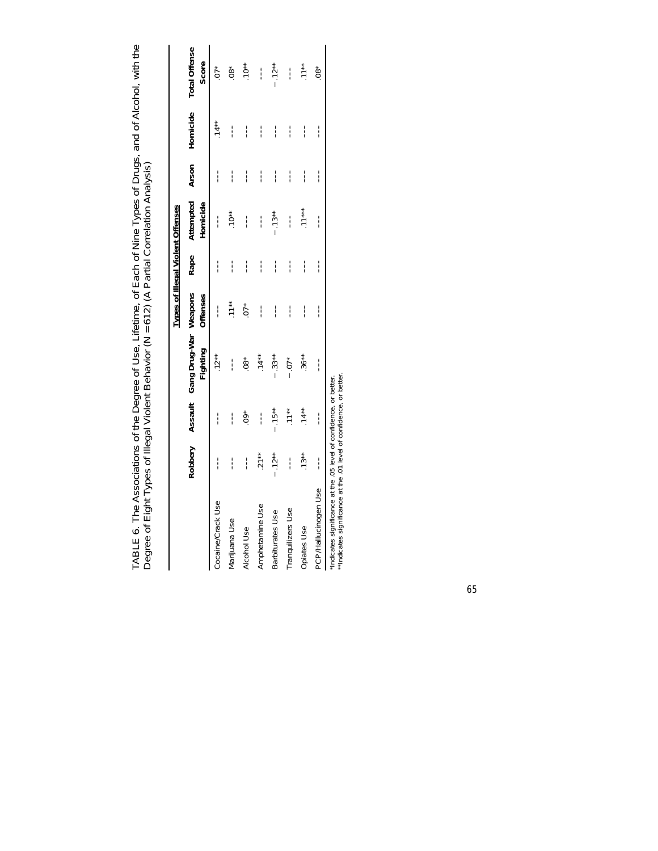TABLE 6. The Associations of the Degree of Use, Lifetime, of Each of Nine Types of Drugs, and of Alcohol, with the<br>Degree of Eight Types of Illegal Violent Behavior (N = 612) (A Partial Correlation Analysis) TABLE 6. The Associations of the Degree of Use, Lifetime, of Each of Nine Types of Drugs, and of Alcohol, with the Degree of Eight Types of Illegal Violent Behavior (N = 612) (A Partial Correlation Analysis)

|                                                                 |               |          |                                           |               |               | Types of Illegal Violent Offenses |               |                          |                        |
|-----------------------------------------------------------------|---------------|----------|-------------------------------------------|---------------|---------------|-----------------------------------|---------------|--------------------------|------------------------|
|                                                                 | Robbery       |          | Assault Gang Drug-War Weapons<br>Fighting | Offenses      | Rape          | Homicide                          |               | Attempted Arson Homicide | Total Offense<br>Score |
| Cocaine/Crack Use                                               | $\frac{1}{1}$ | $\vdots$ | $.12**$                                   | $\frac{1}{1}$ | $\vdots$      | $\frac{1}{1}$                     | $\frac{1}{1}$ | $14**$                   |                        |
| Marijuana Use                                                   | $\frac{1}{1}$ | $\vdots$ | $\frac{1}{2}$                             | $11**$        | $\vdots$      | $.10**$                           | $\frac{1}{1}$ | $\vdots$                 | ģ                      |
| Alcohol Use                                                     | $\frac{1}{1}$ | ģ        | ê0                                        | $.07*$        | $\vdots$      | $\vdots$                          | $\frac{1}{1}$ | $\vdots$                 | $.10**$                |
| Amphetamine Use                                                 | $.21**$       | $\vdots$ | $.14**$                                   | $\vdots$      | $\mathbf{I}$  | $\mathbf{I}$                      | $\vdots$      | $\vdots$                 | i                      |
| Barbiturates Use                                                | $-12**$       | $-15**$  | $-33**$                                   | $\vdots$      | $\vdots$      | $-13**$                           | $\vdots$      | $\vdots$                 | $-12**$                |
| Tranquilizers Use                                               | $\frac{1}{1}$ | $11**$   | $-0.7*$                                   | $\frac{1}{1}$ | $\frac{1}{1}$ | $\frac{1}{1}$                     | $\frac{1}{1}$ | $\mathbf{I}$             | $\frac{1}{1}$          |
| <b>Opiates Use</b>                                              | $.13**$       | $.14**$  | $.36**$                                   | $\vdots$      | $\vdots$      | $.11***$                          | $\frac{1}{1}$ | $\vdots$                 | $.11**$                |
| PCP/Hallucinogen Use                                            | $\frac{1}{1}$ | $\vdots$ | $\vdots$                                  | $\frac{1}{1}$ | $\vdots$      | $\vdots$                          | $\frac{1}{1}$ | $\vdots$                 | ģ                      |
| "Indicates significance at the OS level of confidence or better |               |          |                                           |               |               |                                   |               |                          |                        |

"Indicates significance at the .05 level of confidence, or better.<br>\*\*Indicates significance at the .01 level of confidence, or better. \*\*Indicates significance at the .01 level of confidence, or better.\*Indicates significance at the .05 level of confidence, or better.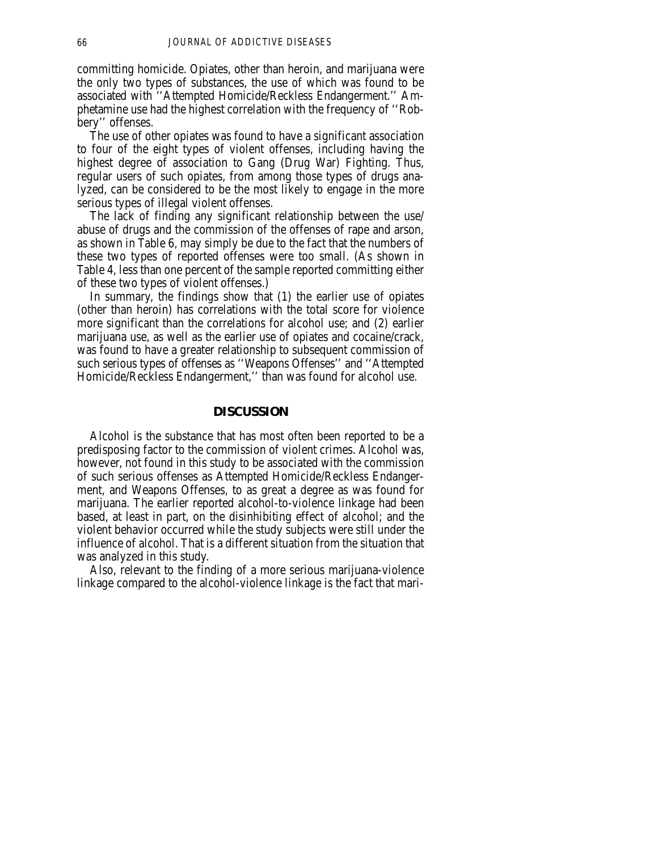committing homicide. Opiates, other than heroin, and marijuana were the only two types of substances, the use of which was found to be associated with ''Attempted Homicide/Reckless Endangerment.'' Amphetamine use had the highest correlation with the frequency of ''Robbery'' offenses.

The use of other opiates was found to have a significant association to four of the eight types of violent offenses, including having the highest degree of association to Gang (Drug War) Fighting. Thus, regular users of such opiates, from among those types of drugs analyzed, can be considered to be the most likely to engage in the more serious types of illegal violent offenses.

The lack of finding any significant relationship between the use/ abuse of drugs and the commission of the offenses of rape and arson, as shown in Table 6, may simply be due to the fact that the numbers of these two types of reported offenses were too small. (As shown in Table 4, less than one percent of the sample reported committing either of these two types of violent offenses.)

In summary, the findings show that (1) the earlier use of opiates (other than heroin) has correlations with the total score for violence more significant than the correlations for alcohol use; and (2) earlier marijuana use, as well as the earlier use of opiates and cocaine/crack, was found to have a greater relationship to subsequent commission of such serious types of offenses as ''Weapons Offenses'' and ''Attempted Homicide/Reckless Endangerment,'' than was found for alcohol use.

## *DISCUSSION*

Alcohol is the substance that has most often been reported to be a predisposing factor to the commission of violent crimes. Alcohol was, however, not found in this study to be associated with the commission of such serious offenses as Attempted Homicide/Reckless Endangerment, and Weapons Offenses, to as great a degree as was found for marijuana. The earlier reported alcohol-to-violence linkage had been based, at least in part, on the disinhibiting effect of alcohol; and the violent behavior occurred while the study subjects were still under the influence of alcohol. That is a different situation from the situation that was analyzed in this study.

Also, relevant to the finding of a more serious marijuana-violence linkage compared to the alcohol-violence linkage is the fact that mari-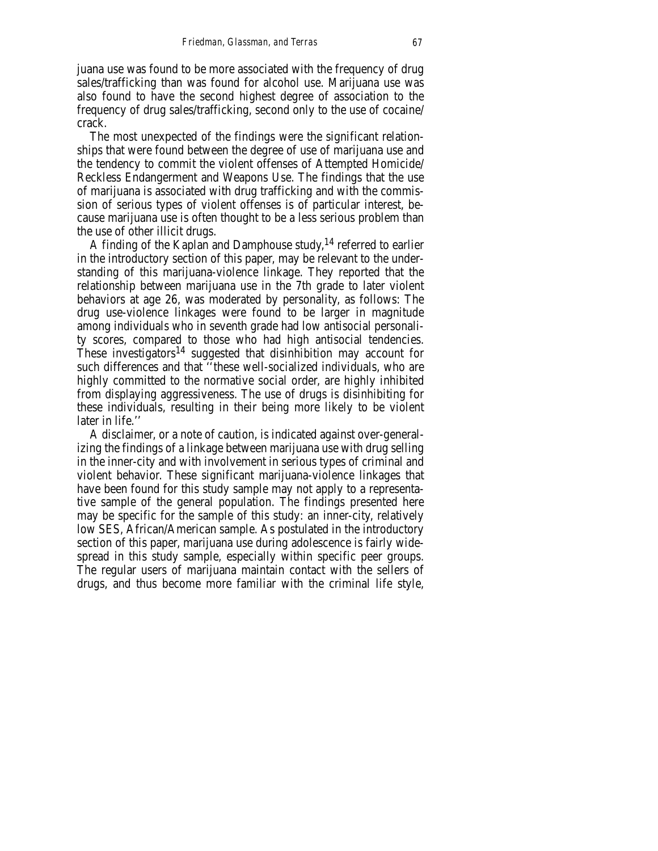juana use was found to be more associated with the frequency of drug sales/trafficking than was found for alcohol use. Marijuana use was also found to have the second highest degree of association to the frequency of drug sales/trafficking, second only to the use of cocaine/ crack.

The most unexpected of the findings were the significant relationships that were found between the degree of use of marijuana use and the tendency to commit the violent offenses of Attempted Homicide/ Reckless Endangerment and Weapons Use. The findings that the use of marijuana is associated with drug trafficking and with the commission of serious types of violent offenses is of particular interest, because marijuana use is often thought to be a less serious problem than the use of other illicit drugs.

A finding of the Kaplan and Damphouse study,  $^{14}$  referred to earlier in the introductory section of this paper, may be relevant to the understanding of this marijuana-violence linkage. They reported that the relationship between marijuana use in the 7th grade to later violent behaviors at age 26, was moderated by personality, as follows: The drug use-violence linkages were found to be larger in magnitude among individuals who in seventh grade had low antisocial personality scores, compared to those who had high antisocial tendencies. These investigators $14$  suggested that disinhibition may account for such differences and that ''these well-socialized individuals, who are highly committed to the normative social order, are highly inhibited from displaying aggressiveness. The use of drugs is disinhibiting for these individuals, resulting in their being more likely to be violent later in life.''

A disclaimer, or a note of caution, is indicated against over-generalizing the findings of a linkage between marijuana use with drug selling in the inner-city and with involvement in serious types of criminal and violent behavior. These significant marijuana-violence linkages that have been found for this study sample may not apply to a representative sample of the general population. The findings presented here may be specific for the sample of this study: an inner-city, relatively low SES, African/American sample. As postulated in the introductory section of this paper, marijuana use during adolescence is fairly widespread in this study sample, especially within specific peer groups. The regular users of marijuana maintain contact with the sellers of drugs, and thus become more familiar with the criminal life style,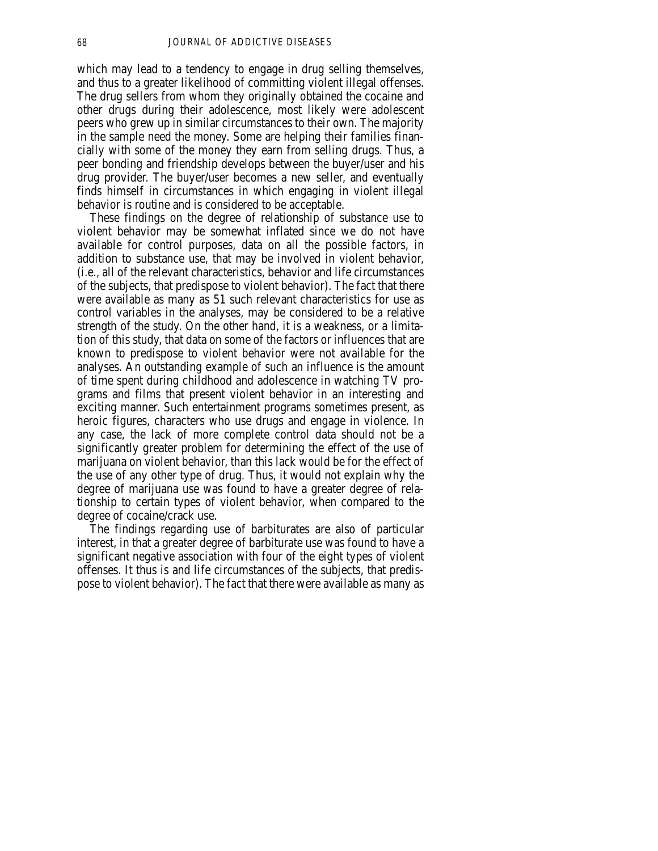which may lead to a tendency to engage in drug selling themselves, and thus to a greater likelihood of committing violent illegal offenses. The drug sellers from whom they originally obtained the cocaine and other drugs during their adolescence, most likely were adolescent peers who grew up in similar circumstances to their own. The majority in the sample need the money. Some are helping their families financially with some of the money they earn from selling drugs. Thus, a peer bonding and friendship develops between the buyer/user and his drug provider. The buyer/user becomes a new seller, and eventually finds himself in circumstances in which engaging in violent illegal behavior is routine and is considered to be acceptable.

These findings on the degree of relationship of substance use to violent behavior may be somewhat inflated since we do not have available for control purposes, data on all the possible factors, in addition to substance use, that may be involved in violent behavior, (i.e., all of the relevant characteristics, behavior and life circumstances of the subjects, that predispose to violent behavior). The fact that there were available as many as 51 such relevant characteristics for use as control variables in the analyses, may be considered to be a relative strength of the study. On the other hand, it is a weakness, or a limitation of this study, that data on some of the factors or influences that are known to predispose to violent behavior were not available for the analyses. An outstanding example of such an influence is the amount of time spent during childhood and adolescence in watching TV programs and films that present violent behavior in an interesting and exciting manner. Such entertainment programs sometimes present, as heroic figures, characters who use drugs and engage in violence. In any case, the lack of more complete control data should not be a significantly greater problem for determining the effect of the use of marijuana on violent behavior, than this lack would be for the effect of the use of any other type of drug. Thus, it would not explain why the degree of marijuana use was found to have a greater degree of relationship to certain types of violent behavior, when compared to the degree of cocaine/crack use.

The findings regarding use of barbiturates are also of particular interest, in that a greater degree of barbiturate use was found to have a significant negative association with four of the eight types of violent offenses. It thus is and life circumstances of the subjects, that predispose to violent behavior). The fact that there were available as many as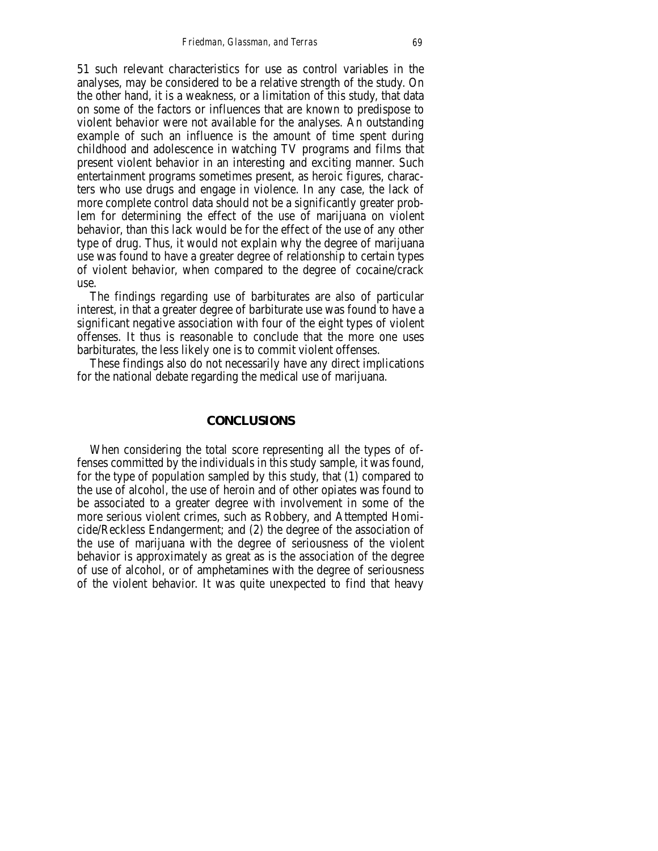51 such relevant characteristics for use as control variables in the analyses, may be considered to be a relative strength of the study. On the other hand, it is a weakness, or a limitation of this study, that data on some of the factors or influences that are known to predispose to violent behavior were not available for the analyses. An outstanding example of such an influence is the amount of time spent during childhood and adolescence in watching TV programs and films that present violent behavior in an interesting and exciting manner. Such entertainment programs sometimes present, as heroic figures, characters who use drugs and engage in violence. In any case, the lack of more complete control data should not be a significantly greater problem for determining the effect of the use of marijuana on violent behavior, than this lack would be for the effect of the use of any other type of drug. Thus, it would not explain why the degree of marijuana use was found to have a greater degree of relationship to certain types of violent behavior, when compared to the degree of cocaine/crack use.

The findings regarding use of barbiturates are also of particular interest, in that a greater degree of barbiturate use was found to have a significant negative association with four of the eight types of violent offenses. It thus is reasonable to conclude that the more one uses barbiturates, the less likely one is to commit violent offenses.

These findings also do not necessarily have any direct implications for the national debate regarding the medical use of marijuana.

## *CONCLUSIONS*

When considering the total score representing all the types of offenses committed by the individuals in this study sample, it was found, for the type of population sampled by this study, that (1) compared to the use of alcohol, the use of heroin and of other opiates was found to be associated to a greater degree with involvement in some of the more serious violent crimes, such as Robbery, and Attempted Homicide/Reckless Endangerment; and (2) the degree of the association of the use of marijuana with the degree of seriousness of the violent behavior is approximately as great as is the association of the degree of use of alcohol, or of amphetamines with the degree of seriousness of the violent behavior. It was quite unexpected to find that heavy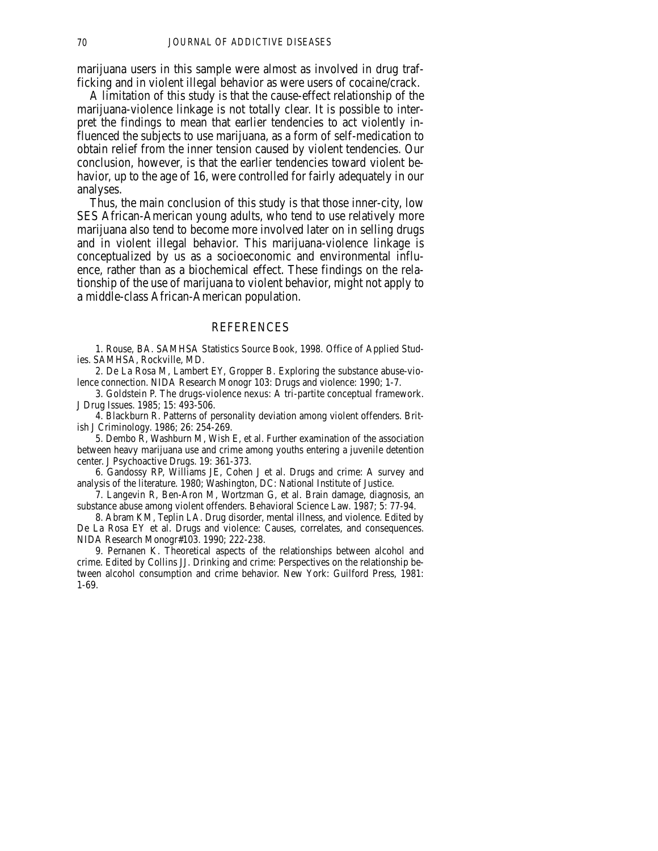marijuana users in this sample were almost as involved in drug trafficking and in violent illegal behavior as were users of cocaine/crack.

A limitation of this study is that the cause-effect relationship of the marijuana-violence linkage is not totally clear. It is possible to interpret the findings to mean that earlier tendencies to act violently influenced the subjects to use marijuana, as a form of self-medication to obtain relief from the inner tension caused by violent tendencies. Our conclusion, however, is that the earlier tendencies toward violent behavior, up to the age of 16, were controlled for fairly adequately in our analyses.

Thus, the main conclusion of this study is that those inner-city, low SES African-American young adults, who tend to use relatively more marijuana also tend to become more involved later on in selling drugs and in violent illegal behavior. This marijuana-violence linkage is conceptualized by us as a socioeconomic and environmental influence, rather than as a biochemical effect. These findings on the relationship of the use of marijuana to violent behavior, might not apply to a middle-class African-American population.

#### REFERENCES

1. Rouse, BA. SAMHSA Statistics Source Book, 1998. Office of Applied Studies. SAMHSA, Rockville, MD.

2. De La Rosa M, Lambert EY, Gropper B. Exploring the substance abuse-violence connection. NIDA Research Monogr 103: Drugs and violence: 1990; 1-7.

3. Goldstein P. The drugs-violence nexus: A tri-partite conceptual framework. J Drug Issues. 1985; 15: 493-506.

4. Blackburn R. Patterns of personality deviation among violent offenders. British J Criminology. 1986; 26: 254-269.

5. Dembo R, Washburn M, Wish E, et al. Further examination of the association between heavy marijuana use and crime among youths entering a juvenile detention center. J Psychoactive Drugs. 19: 361-373.

6. Gandossy RP, Williams JE, Cohen J et al. Drugs and crime: A survey and analysis of the literature. 1980; Washington, DC: National Institute of Justice.

7. Langevin R, Ben-Aron M, Wortzman G, et al. Brain damage, diagnosis, an substance abuse among violent offenders. Behavioral Science Law. 1987; 5: 77-94.

8. Abram KM, Teplin LA. Drug disorder, mental illness, and violence. Edited by De La Rosa EY et al. Drugs and violence: Causes, correlates, and consequences. NIDA Research Monogr#103. 1990; 222-238.

9. Pernanen K. Theoretical aspects of the relationships between alcohol and crime. Edited by Collins JJ. Drinking and crime: Perspectives on the relationship between alcohol consumption and crime behavior. New York: Guilford Press, 1981: 1-69.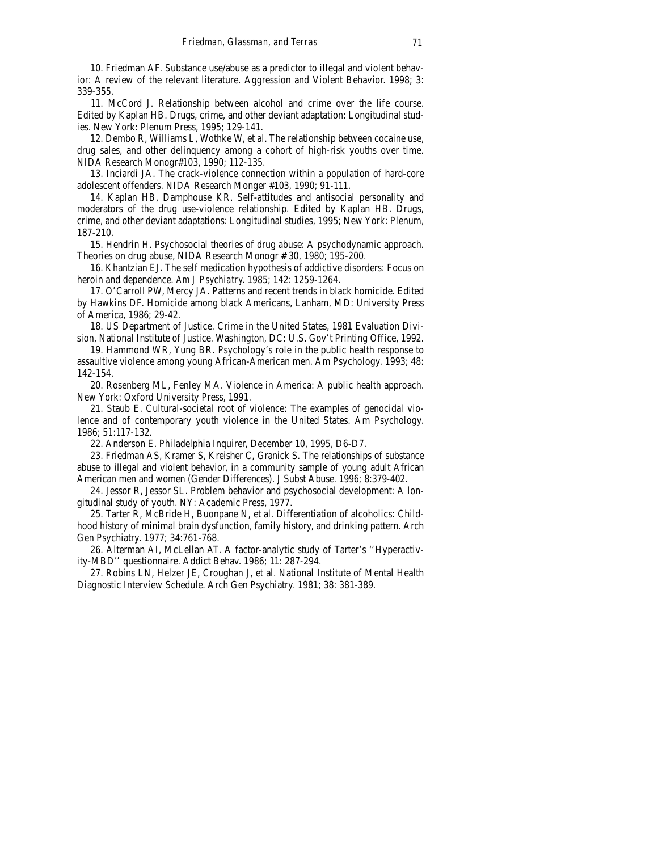10. Friedman AF. Substance use/abuse as a predictor to illegal and violent behavior: A review of the relevant literature. Aggression and Violent Behavior. 1998; 3: 339-355.

11. McCord J. Relationship between alcohol and crime over the life course. Edited by Kaplan HB. Drugs, crime, and other deviant adaptation: Longitudinal studies. New York: Plenum Press, 1995; 129-141.

12. Dembo R, Williams L, Wothke W, et al. The relationship between cocaine use, drug sales, and other delinquency among a cohort of high-risk youths over time. NIDA Research Monogr#103, 1990; 112-135.

13. Inciardi JA. The crack-violence connection within a population of hard-core adolescent offenders. NIDA Research Monger #103, 1990; 91-111.

14. Kaplan HB, Damphouse KR. Self-attitudes and antisocial personality and moderators of the drug use-violence relationship. Edited by Kaplan HB. Drugs, crime, and other deviant adaptations: Longitudinal studies, 1995; New York: Plenum, 187-210.

15. Hendrin H. Psychosocial theories of drug abuse: A psychodynamic approach. Theories on drug abuse, NIDA Research Monogr # 30, 1980; 195-200.

16. Khantzian EJ. The self medication hypothesis of addictive disorders: Focus on heroin and dependence. *Am J Psychiatry*. 1985; 142: 1259-1264.

17. O'Carroll PW, Mercy JA. Patterns and recent trends in black homicide. Edited by Hawkins DF. Homicide among black Americans, Lanham, MD: University Press of America, 1986; 29-42.

18. US Department of Justice. Crime in the United States, 1981 Evaluation Division, National Institute of Justice. Washington, DC: U.S. Gov't Printing Office, 1992.

19. Hammond WR, Yung BR. Psychology's role in the public health response to assaultive violence among young African-American men. Am Psychology. 1993; 48: 142-154.

20. Rosenberg ML, Fenley MA. Violence in America: A public health approach. New York: Oxford University Press, 1991.

21. Staub E. Cultural-societal root of violence: The examples of genocidal violence and of contemporary youth violence in the United States. Am Psychology. 1986; 51:117-132.

22. Anderson E. Philadelphia Inquirer, December 10, 1995, D6-D7.

23. Friedman AS, Kramer S, Kreisher C, Granick S. The relationships of substance abuse to illegal and violent behavior, in a community sample of young adult African American men and women (Gender Differences). J Subst Abuse. 1996; 8:379-402.

24. Jessor R, Jessor SL. Problem behavior and psychosocial development: A longitudinal study of youth. NY: Academic Press, 1977.

25. Tarter R, McBride H, Buonpane N, et al. Differentiation of alcoholics: Childhood history of minimal brain dysfunction, family history, and drinking pattern. Arch Gen Psychiatry. 1977; 34:761-768.

26. Alterman AI, McLellan AT. A factor-analytic study of Tarter's ''Hyperactivity-MBD'' questionnaire. Addict Behav. 1986; 11: 287-294.

27. Robins LN, Helzer JE, Croughan J, et al. National Institute of Mental Health Diagnostic Interview Schedule. Arch Gen Psychiatry. 1981; 38: 381-389.